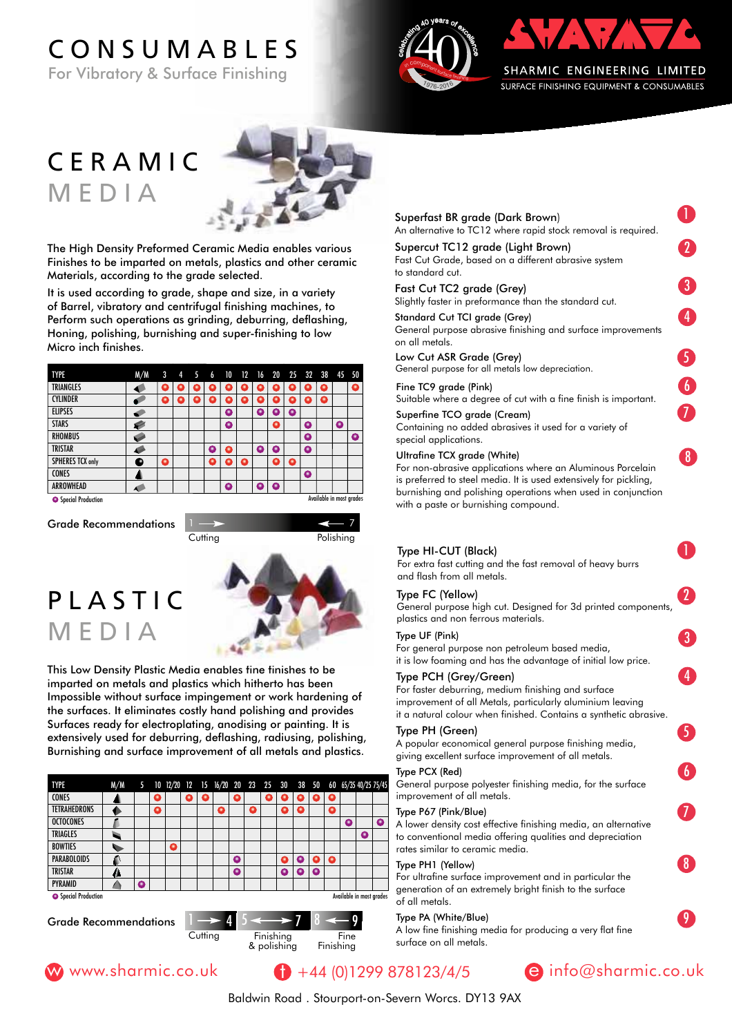# CONSUMABLES

For Vibratory & Surface Finishing





# CERAMIC MEDIA



The High Density Preformed Ceramic Media enables various Finishes to be imparted on metals, plastics and other ceramic Materials, according to the grade selected.

It is used according to grade, shape and size, in a variety of Barrel, vibratory and centrifugal finishing machines, to Perform such operations as grinding, deburring, deflashing, Honing, polishing, burnishing and super-finishing to low Micro inch finishes.

| M/M | 3 | 4 |   | 6 |    |             |   |   |   |           |   |   |                         |
|-----|---|---|---|---|----|-------------|---|---|---|-----------|---|---|-------------------------|
|     | о |   |   |   |    |             |   |   | ٠ |           | o |   | Ω                       |
|     | о | о | о | ۰ | ٠  |             | ο | ۰ | ٥ | о         | ο |   |                         |
| s   |   |   |   |   | Ο  |             | O | ο | a |           |   |   |                         |
| ø   |   |   |   |   | o  |             |   | ο |   | ۰         |   | ۰ |                         |
|     |   |   |   |   |    |             |   |   |   | ۰         |   |   | Δ                       |
| G   |   |   |   | ٥ | o  |             | o | o |   | $\bullet$ |   |   |                         |
| Đ   | Q |   |   | о | ο  | o           |   | ο | Q |           |   |   |                         |
|     |   |   |   |   |    |             |   |   |   | 0         |   |   |                         |
|     |   |   |   |   | ο  |             | ο | ο |   |           |   |   |                         |
|     |   |   |   |   | 45 | $\sqrt{10}$ |   |   |   |           |   |   | 12 16 20 25 32 38 45 50 |

**Special Production** 

Grade Recommendations 1

Polishing

7

## PLASTIC MEDIA



This Low Density Plastic Media enables fine finishes to be imparted on metals and plastics which hitherto has been Impossible without surface impingement or work hardening of the surfaces. It eliminates costly hand polishing and provides Surfaces ready for electroplating, anodising or painting. It is extensively used for deburring, deflashing, radiusing, polishing, Burnishing and surface improvement of all metals and plastics.

#### TYPE M/M 5 10 12/20 12 15 16/20 20 23 25 30 38 50 60 65/35 40/25 75/45 **CONES**  $\blacktriangle$ **TETRAHEDRONS** ♦ **OCTOCONES** Л TRIAGLES  $\overline{\phantom{a}}$ Δ **BOWTIES** ō  $\mathbf{r}$ **PARABOLOIDS** a  $\bullet$  $\bullet$ TRISTAR ō  $\mathbf{A}$ ٥  $\bullet$ ۰ PYRAMID  $\triangle$ **O** Special Production Available in most grades 9

Cutting

Grade Recommendations  $1 \rightarrow 4$ 





#### Superfast BR grade (Dark Brown) An alternative to TC12 where rapid stock removal is required.

Superfast BR grade (Dark Brown) 1 Supercut TC12 grade (Light Brown) Fast Cut Grade, based on a different abrasive system  $\Gamma$  to standard cut.

Fast Cut TC2 grade (Grey)

Slightly faster in preformance than the standard cut. Fast Cut TC2 grade (Grey) 3 Standard Cut TCI grade (Grey)

General purpose abrasive finishing and surface improvements  $\sim$  Standard Cut TCI grade (Grey) 4.4  $\sim$ on all metals.

Low Cut ASR Grade (Grey) and surface in purpose in purpose in an analysis of  $\sim$ General purpose for all metals low depreciation.

#### Fine TC9 grade (Pink) 5

Suitable where a degree of cut with a fine finish is important.

Superfine TCO grade (Cream) 6 Containing no added abrasives it used for a variety of special applications.

#### Ultrafine TCX arade (White)

For non-abrasive applications where an Aluminous Porcelain is preferred to steel media. It is used extensively for pickling, burnishing and polishing operations when used in conjunction with a paste or burnishing compound.

## Type HI-CUT (Black) 1

For extra fast cutting and the fast removal of heavy burrs and flash from all metals.

## Type FC (Yellow) **1999**

General purpose high cut. Designed for 3d printed components, plastics and non ferrous materials.

#### Type UF (Pink) 2

For general purpose non petroleum based media, it is low foaming and has the advantage of initial low price.

#### Type PCH (Grey/Green) 3

For faster deburring, medium finishing and surface improvement of all Metals, particularly aluminium leaving it a natural colour when finished. Contains a synthetic abrasive.

### Type PH (Green) 4

A popular economical general purpose finishing media, giving excellent surface improvement of all metals.

Type PCX (Red)

General purpose polyester finishing media, for the surface improvement of all metals.

#### Type P67 (Pink/Blue) and the state of the state of the state of the state of the state of the state of the state of the state of the state of the state of the state of the state of the state of the state of the state of th

A lower density cost effective finishing media, an alternative to conventional media offering qualities and depreciation rates similar to ceramic media.

#### Type PH1 (Yellow)

For ultrafine surface improvement and in particular the generation of an extremely bright finish to the surface of all metals.

#### Type PA (White/Blue) 8. The Contract of the Contract of Contract of Contract of Contract of Contract of Contract of Contract of Contract of Contract of Contract of Contract of Contract of Contract of Contract of Contract o

 $\frac{1}{4}$   $\frac{5}{4}$   $\frac{5}{4}$   $\frac{7}{8}$   $\frac{8}{10}$   $\frac{9}{100}$   $\frac{1}{2}$   $\frac{1}{2}$   $\frac{1}{2}$   $\frac{1}{2}$   $\frac{1}{2}$   $\frac{1}{2}$   $\frac{1}{2}$   $\frac{1}{2}$   $\frac{1}{2}$   $\frac{1}{2}$   $\frac{1}{2}$   $\frac{1}{2}$   $\frac{1}{2}$   $\frac{1}{2}$   $\frac{1}{2}$   $\frac{1}{2}$ surface on all metals.



8

7

6

5

4

3

2

8

7

6

5

4

3

2

1

Baldwin Road . Stourport-on-Severn Worcs. DY13 9AX